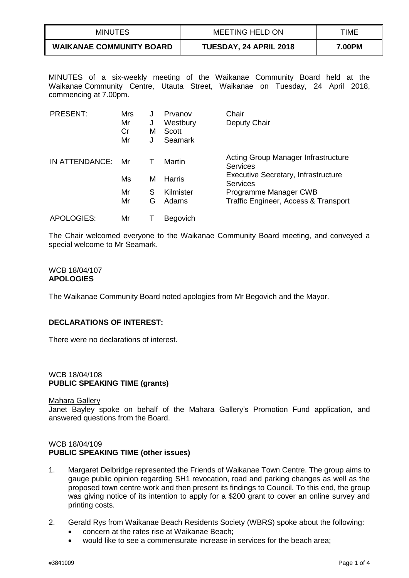| <b>MINUTES</b>                  | MEETING HELD ON        | TIME   |
|---------------------------------|------------------------|--------|
| <b>WAIKANAE COMMUNITY BOARD</b> | TUESDAY, 24 APRIL 2018 | 7.00PM |

MINUTES of a six-weekly meeting of the Waikanae Community Board held at the Waikanae Community Centre, Utauta Street, Waikanae on Tuesday, 24 April 2018, commencing at 7.00pm.

| <b>PRESENT:</b> | Mrs<br>Mr<br>Cr<br>Mr | J<br>J<br>M<br>J | Prvanov<br>Westbury<br><b>Scott</b><br>Seamark | Chair<br>Deputy Chair                                         |
|-----------------|-----------------------|------------------|------------------------------------------------|---------------------------------------------------------------|
| IN ATTENDANCE:  | Mr                    |                  | Martin                                         | Acting Group Manager Infrastructure<br><b>Services</b>        |
|                 | Ms                    | м                | Harris                                         | <b>Executive Secretary, Infrastructure</b><br><b>Services</b> |
|                 | Mr<br>Mr              | S<br>G           | Kilmister<br>Adams                             | Programme Manager CWB<br>Traffic Engineer, Access & Transport |
| APOLOGIES:      | Mr                    |                  | Begovich                                       |                                                               |

The Chair welcomed everyone to the Waikanae Community Board meeting, and conveyed a special welcome to Mr Seamark.

## WCB 18/04/107 **APOLOGIES**

The Waikanae Community Board noted apologies from Mr Begovich and the Mayor.

# **DECLARATIONS OF INTEREST:**

There were no declarations of interest.

## WCB 18/04/108 **PUBLIC SPEAKING TIME (grants)**

## Mahara Gallery

Janet Bayley spoke on behalf of the Mahara Gallery's Promotion Fund application, and answered questions from the Board.

# WCB 18/04/109 **PUBLIC SPEAKING TIME (other issues)**

- 1. Margaret Delbridge represented the Friends of Waikanae Town Centre. The group aims to gauge public opinion regarding SH1 revocation, road and parking changes as well as the proposed town centre work and then present its findings to Council. To this end, the group was giving notice of its intention to apply for a \$200 grant to cover an online survey and printing costs.
- 2. Gerald Rys from Waikanae Beach Residents Society (WBRS) spoke about the following:
	- concern at the rates rise at Waikanae Beach;
	- would like to see a commensurate increase in services for the beach area;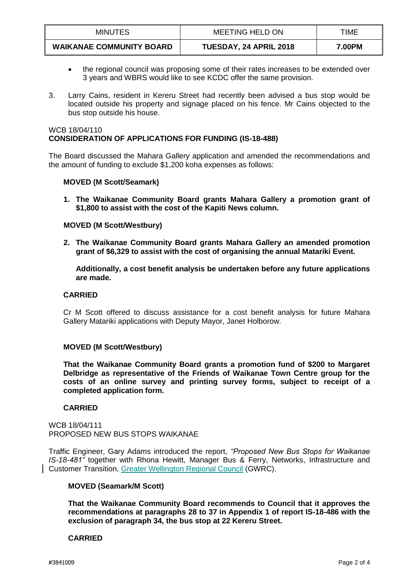| <b>MINUTES</b>                  | MEETING HELD ON        | TIME   |
|---------------------------------|------------------------|--------|
| <b>WAIKANAE COMMUNITY BOARD</b> | TUESDAY, 24 APRIL 2018 | 7.00PM |

- the regional council was proposing some of their rates increases to be extended over 3 years and WBRS would like to see KCDC offer the same provision.
- 3. Larry Cains, resident in Kereru Street had recently been advised a bus stop would be located outside his property and signage placed on his fence. Mr Cains objected to the bus stop outside his house.

## WCB 18/04/110 **CONSIDERATION OF APPLICATIONS FOR FUNDING (IS-18-488)**

The Board discussed the Mahara Gallery application and amended the recommendations and the amount of funding to exclude \$1,200 koha expenses as follows:

## **MOVED (M Scott/Seamark)**

**1. The Waikanae Community Board grants Mahara Gallery a promotion grant of \$1,800 to assist with the cost of the Kapiti News column.** 

## **MOVED (M Scott/Westbury)**

**2. The Waikanae Community Board grants Mahara Gallery an amended promotion grant of \$6,329 to assist with the cost of organising the annual Matariki Event.**

**Additionally, a cost benefit analysis be undertaken before any future applications are made.**

## **CARRIED**

Cr M Scott offered to discuss assistance for a cost benefit analysis for future Mahara Gallery Matariki applications with Deputy Mayor, Janet Holborow.

## **MOVED (M Scott/Westbury)**

**That the Waikanae Community Board grants a promotion fund of \$200 to Margaret Delbridge as representative of the Friends of Waikanae Town Centre group for the costs of an online survey and printing survey forms, subject to receipt of a completed application form.** 

# **CARRIED**

## WCB 18/04/111 PROPOSED NEW BUS STOPS WAIKANAE

Traffic Engineer, Gary Adams introduced the report, *"Proposed New Bus Stops for Waikanae IS-18-481"* together with Rhona Hewitt, Manager Bus & Ferry, Networks, Infrastructure and Customer Transition, Greater Wellington Regional Council (GWRC).

# **MOVED (Seamark/M Scott)**

**That the Waikanae Community Board recommends to Council that it approves the recommendations at paragraphs 28 to 37 in Appendix 1 of report IS-18-486 with the exclusion of paragraph 34, the bus stop at 22 Kereru Street.**

# **CARRIED**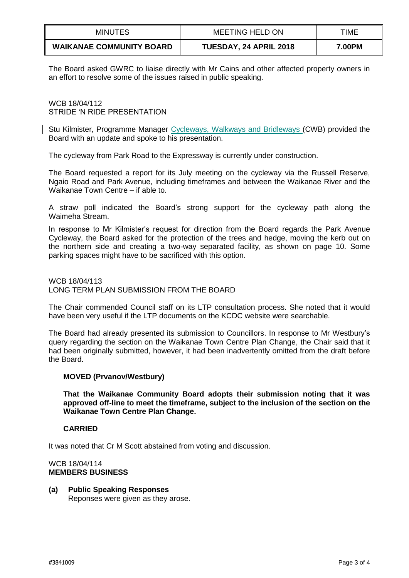| <b>MINUTES</b>                  | MEETING HELD ON        | TIME   |
|---------------------------------|------------------------|--------|
| <b>WAIKANAE COMMUNITY BOARD</b> | TUESDAY, 24 APRIL 2018 | 7.00PM |

The Board asked GWRC to liaise directly with Mr Cains and other affected property owners in an effort to resolve some of the issues raised in public speaking.

WCB 18/04/112 STRIDE 'N RIDE PRESENTATION

Stu Kilmister, Programme Manager Cycleways, Walkways and Bridleways (CWB) provided the Board with an update and spoke to his presentation.

The cycleway from Park Road to the Expressway is currently under construction.

The Board requested a report for its July meeting on the cycleway via the Russell Reserve, Ngaio Road and Park Avenue, including timeframes and between the Waikanae River and the Waikanae Town Centre – if able to.

A straw poll indicated the Board's strong support for the cycleway path along the Waimeha Stream.

In response to Mr Kilmister's request for direction from the Board regards the Park Avenue Cycleway, the Board asked for the protection of the trees and hedge, moving the kerb out on the northern side and creating a two-way separated facility, as shown on page 10. Some parking spaces might have to be sacrificed with this option.

WCB 18/04/113 LONG TERM PLAN SUBMISSION FROM THE BOARD

The Chair commended Council staff on its LTP consultation process. She noted that it would have been very useful if the LTP documents on the KCDC website were searchable.

The Board had already presented its submission to Councillors. In response to Mr Westbury's query regarding the section on the Waikanae Town Centre Plan Change, the Chair said that it had been originally submitted, however, it had been inadvertently omitted from the draft before the Board.

# **MOVED (Prvanov/Westbury)**

**That the Waikanae Community Board adopts their submission noting that it was approved off-line to meet the timeframe, subject to the inclusion of the section on the Waikanae Town Centre Plan Change.** 

## **CARRIED**

It was noted that Cr M Scott abstained from voting and discussion.

## WCB 18/04/114 **MEMBERS BUSINESS**

**(a) Public Speaking Responses** Reponses were given as they arose.